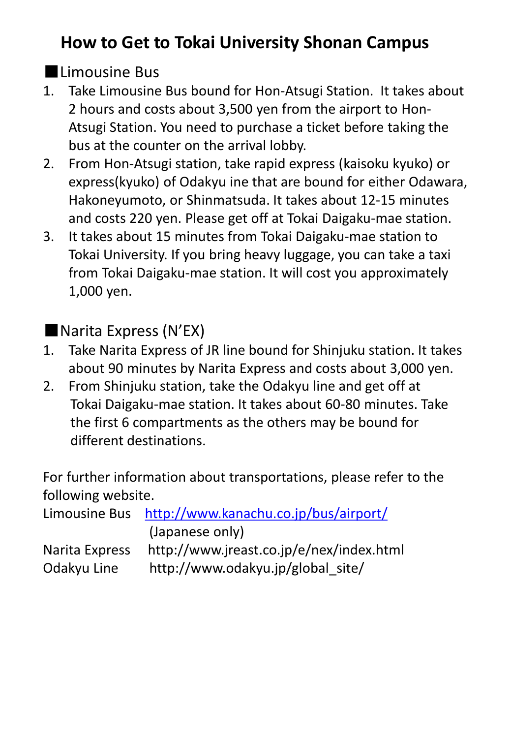## **How to Get to Tokai University Shonan Campus**

### ■Limousine Bus

- 1. Take Limousine Bus bound for Hon-Atsugi Station. It takes about 2 hours and costs about 3,500 yen from the airport to Hon-Atsugi Station. You need to purchase a ticket before taking the bus at the counter on the arrival lobby.
- 2. From Hon-Atsugi station, take rapid express (kaisoku kyuko) or express(kyuko) of Odakyu ine that are bound for either Odawara, Hakoneyumoto, or Shinmatsuda. It takes about 12-15 minutes and costs 220 yen. Please get off at Tokai Daigaku-mae station.
- 3. It takes about 15 minutes from Tokai Daigaku-mae station to Tokai University. If you bring heavy luggage, you can take a taxi from Tokai Daigaku-mae station. It will cost you approximately 1,000 yen.

#### ■Narita Express (N'EX)

- 1. Take Narita Express of JR line bound for Shinjuku station. It takes about 90 minutes by Narita Express and costs about 3,000 yen.
- 2. From Shinjuku station, take the Odakyu line and get off at Tokai Daigaku-mae station. It takes about 60-80 minutes. Take the first 6 compartments as the others may be bound for different destinations.

For further information about transportations, please refer to the following website.

|                | Limousine Bus http://www.kanachu.co.jp/bus/airport/ |
|----------------|-----------------------------------------------------|
|                | (Japanese only)                                     |
| Narita Express | http://www.jreast.co.jp/e/nex/index.html            |
| Odakyu Line    | http://www.odakyu.jp/global site/                   |